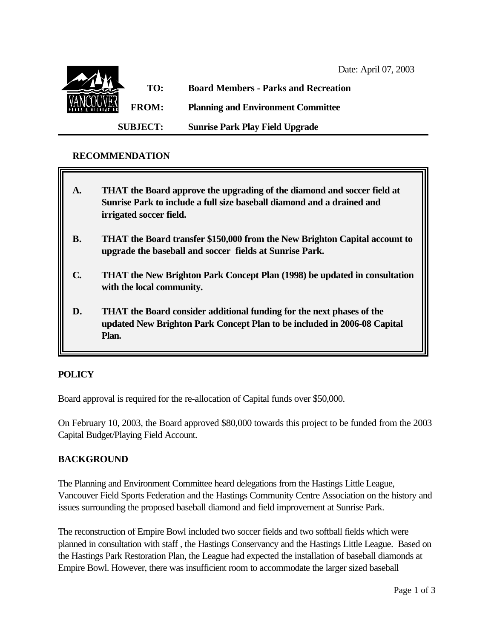

## **RECOMMENDATION**

- **A. THAT the Board approve the upgrading of the diamond and soccer field at Sunrise Park to include a full size baseball diamond and a drained and irrigated soccer field.**
- **B. THAT the Board transfer \$150,000 from the New Brighton Capital account to upgrade the baseball and soccer fields at Sunrise Park.**
- **C. THAT the New Brighton Park Concept Plan (1998) be updated in consultation with the local community.**
- **D. THAT the Board consider additional funding for the next phases of the updated New Brighton Park Concept Plan to be included in 2006-08 Capital Plan.**

## **POLICY**

Board approval is required for the re-allocation of Capital funds over \$50,000.

On February 10, 2003, the Board approved \$80,000 towards this project to be funded from the 2003 Capital Budget/Playing Field Account.

## **BACKGROUND**

The Planning and Environment Committee heard delegations from the Hastings Little League, Vancouver Field Sports Federation and the Hastings Community Centre Association on the history and issues surrounding the proposed baseball diamond and field improvement at Sunrise Park.

The reconstruction of Empire Bowl included two soccer fields and two softball fields which were planned in consultation with staff , the Hastings Conservancy and the Hastings Little League. Based on the Hastings Park Restoration Plan, the League had expected the installation of baseball diamonds at Empire Bowl. However, there was insufficient room to accommodate the larger sized baseball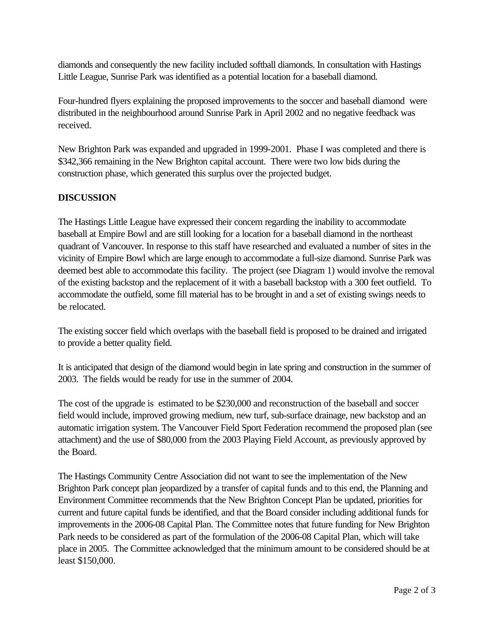diamonds and consequently the new facility included softball diamonds. In consultation with Hastings Little League, Sunrise Park was identified as a potential location for a baseball diamond.

Four-hundred flyers explaining the proposed improvements to the soccer and baseball diamond were distributed in the neighbourhood around Sunrise Park in April 2002 and no negative feedback was received.

New Brighton Park was expanded and upgraded in 1999-2001. Phase I was completed and there is \$342,366 remaining in the New Brighton capital account. There were two low bids during the construction phase, which generated this surplus over the projected budget.

# **DISCUSSION**

The Hastings Little League have expressed their concern regarding the inability to accommodate baseball at Empire Bowl and are still looking for a location for a baseball diamond in the northeast quadrant of Vancouver. In response to this staff have researched and evaluated a number of sites in the vicinity of Empire Bowl which are large enough to accommodate a full-size diamond. Sunrise Park was deemed best able to accommodate this facility. The project (see Diagram 1) would involve the removal of the existing backstop and the replacement of it with a baseball backstop with a 300 feet outfield. To accommodate the outfield, some fill material has to be brought in and a set of existing swings needs to be relocated.

The existing soccer field which overlaps with the baseball field is proposed to be drained and irrigated to provide a better quality field.

It is anticipated that design of the diamond would begin in late spring and construction in the summer of 2003. The fields would be ready for use in the summer of 2004.

The cost of the upgrade is estimated to be \$230,000 and reconstruction of the baseball and soccer field would include, improved growing medium, new turf, sub-surface drainage, new backstop and an automatic irrigation system. The Vancouver Field Sport Federation recommend the proposed plan (see attachment) and the use of \$80,000 from the 2003 Playing Field Account, as previously approved by the Board.

The Hastings Community Centre Association did not want to see the implementation of the New Brighton Park concept plan jeopardized by a transfer of capital funds and to this end, the Planning and Environment Committee recommends that the New Brighton Concept Plan be updated, priorities for current and future capital funds be identified, and that the Board consider including additional funds for improvements in the 2006-08 Capital Plan. The Committee notes that future funding for New Brighton Park needs to be considered as part of the formulation of the 2006-08 Capital Plan, which will take place in 2005. The Committee acknowledged that the minimum amount to be considered should be at least \$150,000.